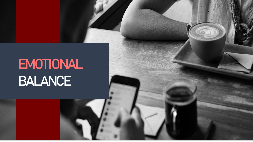# **EMOTIONAL BALANCE**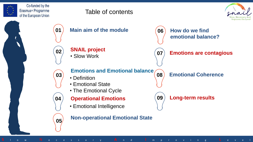

Co-funded by the Erasmus+ Programme of the European Union

## Table of contents



**01 Main aim of the module 02** • Slow Work **SNAIL project 03** • Definition • Emotional State • The Emotional Cycle **Emotions and Emotional balance 04 Operational Emotions <sup>05</sup> Non-operational Emotional State 06 How do we find emotional balance? 07 Emotions are contagious 08 Emotional Coherence 09 Long-term results** • Emotional Intelligence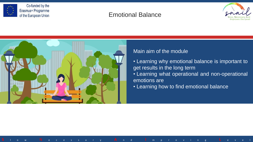

## Emotional Balance

**S** l o w N e c e s s a r y **A** n d **I** m p r o v i n g **L** e v e l





#### Main aim of the module

- Learning why emotional balance is important to get results in the long term
- Learning what operational and non-operational emotions are
- Learning how to find emotional balance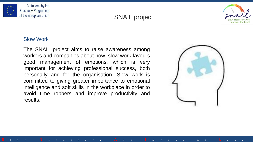



**S** l o w N e c e s s a r y **A** n d **I** m p r o v i n g **L** e v e l



#### Slow Work

The SNAIL project aims to raise awareness among workers and companies about how slow work favours good management of emotions, which is very important for achieving professional success, both personally and for the organisation. Slow work is committed to giving greater importance to emotional intelligence and soft skills in the workplace in order to avoid time robbers and improve productivity and results.

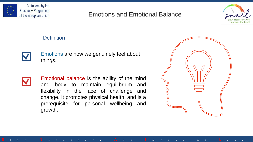

## Emotions and Emotional Balance

**S** l o w N e c e s s a r y **A** n d **I** m p r o v i n g **L** e v e l



#### **Definition**



Emotions are how we genuinely feel about things.



Emotional balance is the ability of the mind and body to maintain equilibrium and flexibility in the face of challenge and change. It promotes physical health, and is a prerequisite for personal wellbeing and growth.

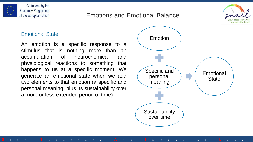

Co-funded by the Erasmus+ Programme of the European Union

# Emotions and Emotional Balance

**S** l o w N e c e s s a r y **A** n d **I** m p r o v i n g **L** e v e l



#### Emotional State

An emotion is a specific response to a stimulus that is nothing more than an accumulation of neurochemical and physiological reactions to something that happens to us at a specific moment. We generate an emotional state when we add two elements to that emotion (a specific and personal meaning, plus its sustainability over a more or less extended period of time).

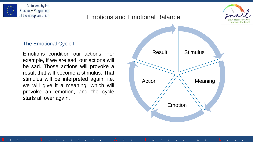



### Emotions and Emotional Balance

**S** l o w N e c e s s a r y **A** n d **I** m p r o v i n g **L** e v e l

#### The Emotional Cycle I

Emotions condition our actions. For example, if we are sad, our actions will be sad. Those actions will provoke a result that will become a stimulus. That stimulus will be interpreted again, i.e. we will give it a meaning, which will provoke an emotion, and the cycle starts all over again.

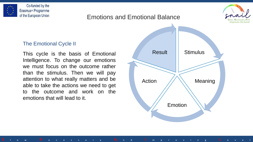



**S** l o w N e c e s s a r y **A** n d **I** m p r o v i n g **L** e v e l



#### The Emotional Cycle II

This cycle is the basis of Emotional Intelligence. To change our emotions we must focus on the outcome rather than the stimulus. Then we will pay attention to what really matters and be able to take the actions we need to get to the outcome and work on the emotions that will lead to it.

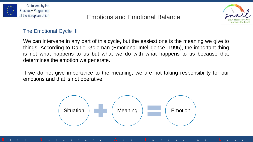

# Emotions and Emotional Balance



#### The Emotional Cycle III

We can intervene in any part of this cycle, but the easiest one is the meaning we give to things. According to Daniel Goleman (Emotional Intelligence, 1995), the important thing is not what happens to us but what we do with what happens to us because that determines the emotion we generate.

If we do not give importance to the meaning, we are not taking responsibility for our emotions and that is not operative.

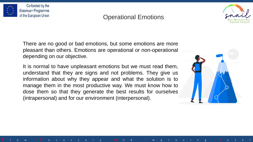

## Operational Emotions

**S** l o w N e c e s s a r y **A** n d **I** m p r o v i n g **L** e v e l



There are no good or bad emotions, but some emotions are more pleasant than others. Emotions are operational or non-operational depending on our objective.

It is normal to have unpleasant emotions but we must read them, understand that they are signs and not problems. They give us information about why they appear and what the solution is to manage them in the most productive way. We must know how to dose them so that they generate the best results for ourselves (intrapersonal) and for our environment (interpersonal).

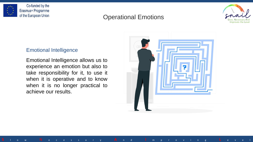

# Operational Emotions

**S** l o w N e c e s s a r y **A** n d **I** m p r o v i n g **L** e v e l



#### Emotional Intelligence

Emotional Intelligence allows us to experience an emotion but also to take responsibility for it, to use it when it is operative and to know when it is no longer practical to achieve our results.

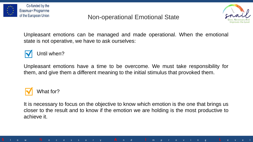

# Non-operational Emotional State



Unpleasant emotions can be managed and made operational. When the emotional state is not operative, we have to ask ourselves:



Until when?

Unpleasant emotions have a time to be overcome. We must take responsibility for them, and give them a different meaning to the initial stimulus that provoked them.



It is necessary to focus on the objective to know which emotion is the one that brings us closer to the result and to know if the emotion we are holding is the most productive to achieve it.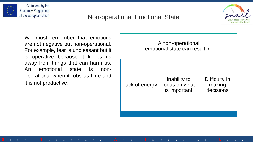

# Non-operational Emotional State

**S** l o w N e c e s s a r y **A** n d **I** m p r o v i n g **L** e v e l



We must remember that emotions are not negative but non-operational. For example, fear is unpleasant but it is operative because it keeps us away from things that can harm us. An emotional state is nonoperational when it robs us time and it is not productive.

| A non-operational<br>emotional state can result in: |                                               |                                      |
|-----------------------------------------------------|-----------------------------------------------|--------------------------------------|
| Lack of energy                                      | Inability to<br>focus on what<br>is important | Difficulty in<br>making<br>decisions |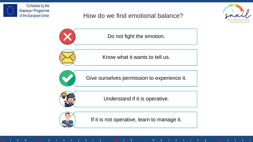

# How do we find emotional balance?



Do not fight the emotion.



Know what it wants to tell us.



Give ourselves permission to experience it.



Understand if it is operative.



If it is not operative, learn to manage it.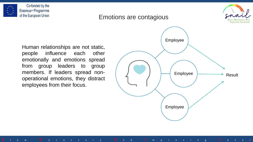



Emotions are contagious

**S** l o w N e c e s s a r y **A** n d **I** m p r o v i n g **L** e v e l

Human relationships are not static, people influence each other emotionally and emotions spread from group leaders to group members. If leaders spread nonoperational emotions, they distract employees from their focus.

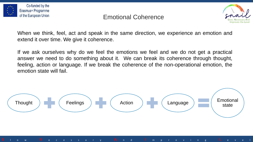

## Emotional Coherence



When we think, feel, act and speak in the same direction, we experience an emotion and extend it over time. We give it coherence.

If we ask ourselves why do we feel the emotions we feel and we do not get a practical answer we need to do something about it. We can break its coherence through thought, feeling, action or language. If we break the coherence of the non-operational emotion, the emotion state will fail.

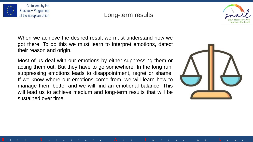

## Long-term results

**S** l o w N e c e s s a r y **A** n d **I** m p r o v i n g **L** e v e l



When we achieve the desired result we must understand how we got there. To do this we must learn to interpret emotions, detect their reason and origin.

Most of us deal with our emotions by either suppressing them or acting them out. But they have to go somewhere. In the long run, suppressing emotions leads to disappointment, regret or shame. If we know where our emotions come from, we will learn how to manage them better and we will find an emotional balance. This will lead us to achieve medium and long-term results that will be sustained over time.

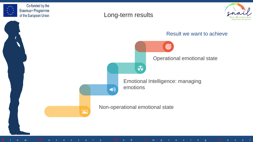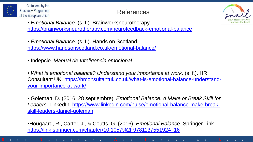

# References



- *Emotional Balance*. (s. f.). Brainworksneurotherapy. <https://brainworksneurotherapy.com/neurofeedback-emotional-balance>
- *Emotional Balance*. (s. f.). Hands on Scotland. <https://www.handsonscotland.co.uk/emotional-balance/>
- Indepcie. *Manual de Inteligencia emocional*

• *What is emotional balance? Understand your importance at work*. (s. f.). HR [Consultant UK. https://hrconsultantuk.co.uk/what-is-emotional-balance-understand](https://hrconsultantuk.co.uk/what-is-emotional-balance-understand-your-importance-at-work/)your-importance-at-work/

• Goleman, D. (2016, 28 septiembre). *Emotional Balance: A Make or Break Skill for Leaders*[. LinkedIn. https://www.linkedin.com/pulse/emotional-balance-make-break](https://www.linkedin.com/pulse/emotional-balance-make-break-skill-leaders-daniel-goleman)skill-leaders-daniel-goleman

•Hougaard, R., Carter, J., & Coutts, G. (2016). *Emotional Balance*. Springer Link. [https://link.springer.com/chapter/10.1057%2F9781137551924\\_16](https://link.springer.com/chapter/10.1057/9781137551924_16)